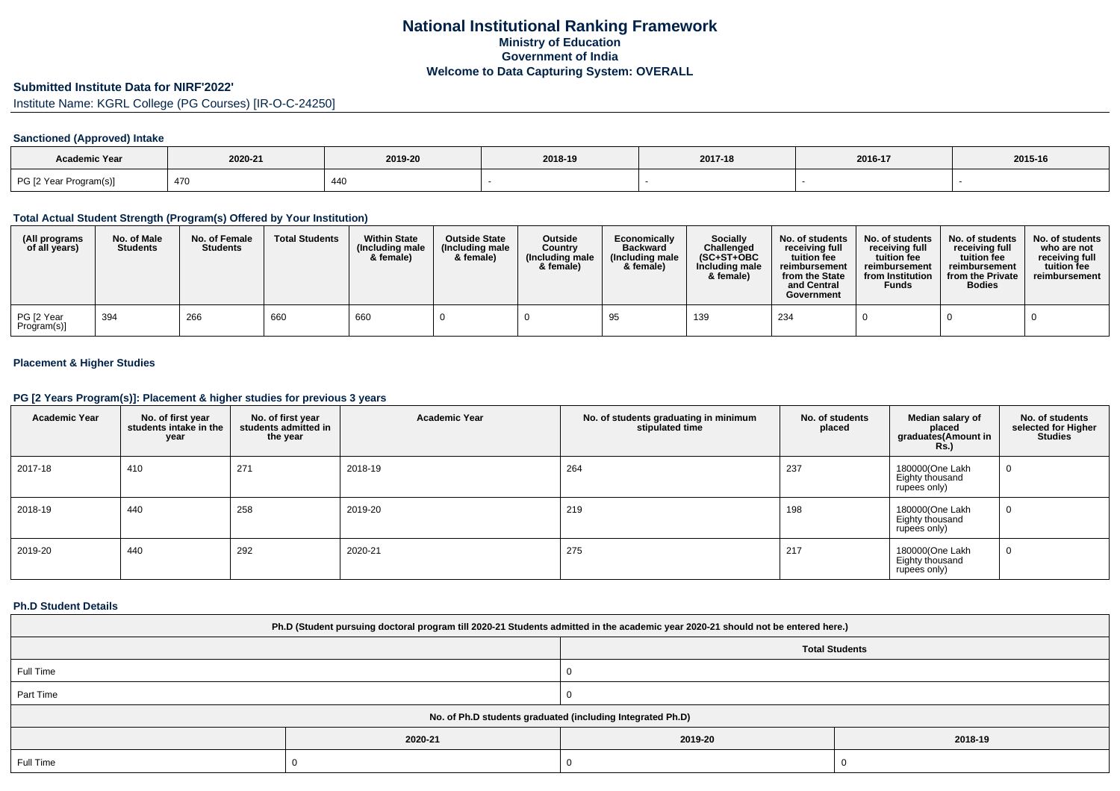# **Submitted Institute Data for NIRF'2022'**

Institute Name: KGRL College (PG Courses) [IR-O-C-24250]

# **Sanctioned (Approved) Intake**

| <b>Academic Year</b>   | 2020-21 | 2019-20 | 2018-19 | 2017-18 | 2016-17 | 2015-16 |
|------------------------|---------|---------|---------|---------|---------|---------|
| PG [2 Year Program(s)] | 470     | 440     |         |         |         |         |

### **Total Actual Student Strength (Program(s) Offered by Your Institution)**

| (All programs<br>of all years) | No. of Male<br><b>Students</b> | No. of Female<br><b>Students</b> | <b>Total Students</b> | <b>Within State</b><br>(Including male<br>& female) | <b>Outside State</b><br>(Including male<br>& female) | Outside<br>Country<br>(Including male<br>& female) | Economically<br><b>Backward</b><br>(Including male<br>& female) | Socially<br>Challenged<br>$(SC+ST+OBC$<br>Including male<br>& female) | No. of students<br>receiving full<br>tuition fee<br>reimbursement<br>from the State<br>and Central<br>Government | No. of students<br>receiving full<br>tuition fee<br>reimbursement<br>from Institution<br><b>Funds</b> | No. of students<br>receiving full<br>tuition fee<br>reimbursement<br>from the Private<br><b>Bodies</b> | No. of students<br>who are not<br>receiving full<br>tuition fee<br>reimbursement |
|--------------------------------|--------------------------------|----------------------------------|-----------------------|-----------------------------------------------------|------------------------------------------------------|----------------------------------------------------|-----------------------------------------------------------------|-----------------------------------------------------------------------|------------------------------------------------------------------------------------------------------------------|-------------------------------------------------------------------------------------------------------|--------------------------------------------------------------------------------------------------------|----------------------------------------------------------------------------------|
| PG [2 Year<br>Program(s)]      | 394                            | 266                              | 660                   | 660                                                 |                                                      |                                                    |                                                                 | 139                                                                   | 234                                                                                                              |                                                                                                       |                                                                                                        |                                                                                  |

# **Placement & Higher Studies**

### **PG [2 Years Program(s)]: Placement & higher studies for previous 3 years**

| <b>Academic Year</b> | No. of first year<br>students intake in the<br>year | No. of first year<br>students admitted in<br>the year | <b>Academic Year</b> | No. of students graduating in minimum<br>stipulated time | No. of students<br>placed | Median salary of<br>placed<br>graduates(Amount in<br><b>Rs.</b> ) | No. of students<br>selected for Higher<br><b>Studies</b> |
|----------------------|-----------------------------------------------------|-------------------------------------------------------|----------------------|----------------------------------------------------------|---------------------------|-------------------------------------------------------------------|----------------------------------------------------------|
| 2017-18              | 410                                                 | 271                                                   | 2018-19              | 264                                                      | 237                       | 180000(One Lakh<br>Eighty thousand<br>rupees only)                | $\mathbf{0}$                                             |
| 2018-19              | 440                                                 | 258                                                   | 2019-20              | 219                                                      | 198                       | 180000(One Lakh<br>Eighty thousand<br>rupees only)                | $\mathbf{0}$                                             |
| 2019-20              | 440                                                 | 292                                                   | 2020-21              | 275                                                      | 217                       | 180000(One Lakh<br>Eighty thousand<br>rupees only)                | $\mathbf{0}$                                             |

### **Ph.D Student Details**

| Ph.D (Student pursuing doctoral program till 2020-21 Students admitted in the academic year 2020-21 should not be entered here.) |         |         |         |  |  |
|----------------------------------------------------------------------------------------------------------------------------------|---------|---------|---------|--|--|
| <b>Total Students</b>                                                                                                            |         |         |         |  |  |
| Full Time                                                                                                                        |         |         |         |  |  |
| Part Time                                                                                                                        |         |         |         |  |  |
| No. of Ph.D students graduated (including Integrated Ph.D)                                                                       |         |         |         |  |  |
|                                                                                                                                  | 2020-21 | 2019-20 | 2018-19 |  |  |
| Full Time                                                                                                                        |         |         |         |  |  |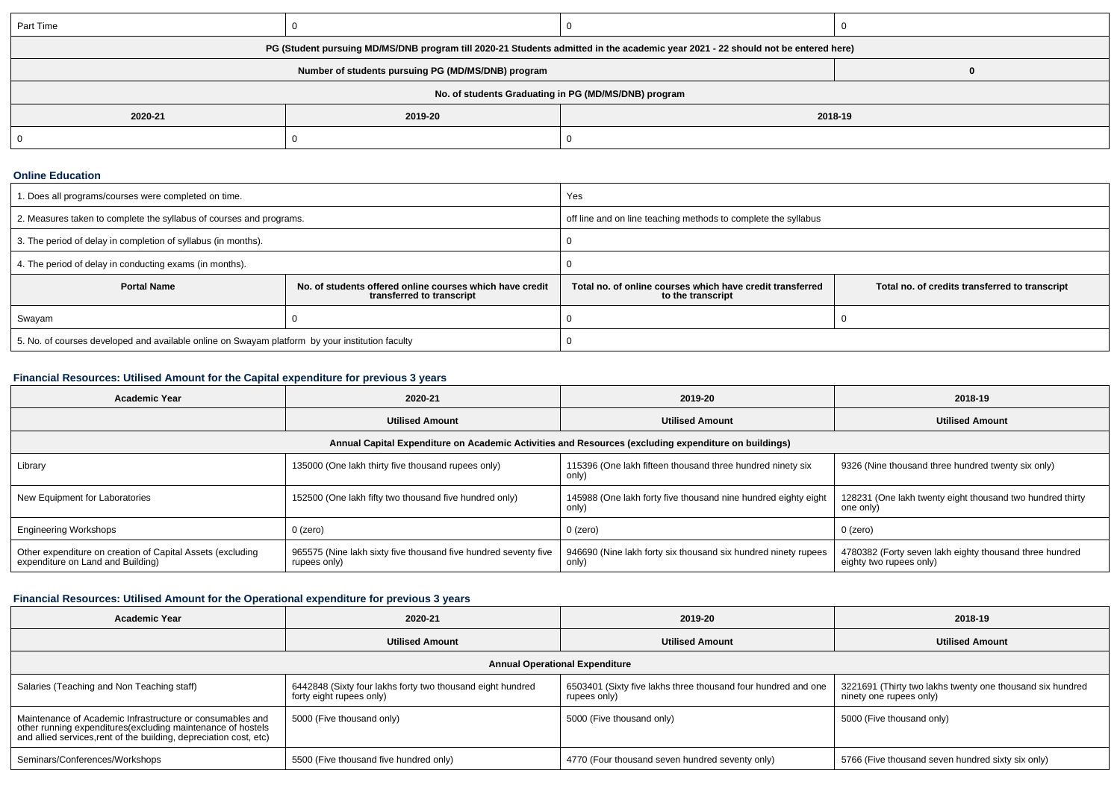| Part Time                                                                                                                        |                    |  |  |  |  |
|----------------------------------------------------------------------------------------------------------------------------------|--------------------|--|--|--|--|
| PG (Student pursuing MD/MS/DNB program till 2020-21 Students admitted in the academic year 2021 - 22 should not be entered here) |                    |  |  |  |  |
|                                                                                                                                  |                    |  |  |  |  |
| No. of students Graduating in PG (MD/MS/DNB) program                                                                             |                    |  |  |  |  |
| 2020-21                                                                                                                          | 2019-20<br>2018-19 |  |  |  |  |
|                                                                                                                                  |                    |  |  |  |  |

## **Online Education**

| I. Does all programs/courses were completed on time.                                            |                                                                                       | Yes                                                                            |                                                |  |  |
|-------------------------------------------------------------------------------------------------|---------------------------------------------------------------------------------------|--------------------------------------------------------------------------------|------------------------------------------------|--|--|
| 2. Measures taken to complete the syllabus of courses and programs.                             |                                                                                       | off line and on line teaching methods to complete the syllabus                 |                                                |  |  |
| 3. The period of delay in completion of syllabus (in months).                                   |                                                                                       |                                                                                |                                                |  |  |
| 4. The period of delay in conducting exams (in months).                                         |                                                                                       |                                                                                |                                                |  |  |
| <b>Portal Name</b>                                                                              | No. of students offered online courses which have credit<br>transferred to transcript | Total no, of online courses which have credit transferred<br>to the transcript | Total no. of credits transferred to transcript |  |  |
| Swayam                                                                                          |                                                                                       |                                                                                |                                                |  |  |
| 5. No. of courses developed and available online on Swayam platform by your institution faculty |                                                                                       |                                                                                |                                                |  |  |

# **Financial Resources: Utilised Amount for the Capital expenditure for previous 3 years**

| <b>Academic Year</b>                                                                                 | 2020-21                                                                         | 2019-20                                                                 | 2018-19                                                                            |  |  |  |
|------------------------------------------------------------------------------------------------------|---------------------------------------------------------------------------------|-------------------------------------------------------------------------|------------------------------------------------------------------------------------|--|--|--|
|                                                                                                      | <b>Utilised Amount</b>                                                          | <b>Utilised Amount</b>                                                  | <b>Utilised Amount</b>                                                             |  |  |  |
| Annual Capital Expenditure on Academic Activities and Resources (excluding expenditure on buildings) |                                                                                 |                                                                         |                                                                                    |  |  |  |
| Library                                                                                              | 135000 (One lakh thirty five thousand rupees only)                              | 115396 (One lakh fifteen thousand three hundred ninety six<br>only)     | 9326 (Nine thousand three hundred twenty six only)                                 |  |  |  |
| New Equipment for Laboratories                                                                       | 152500 (One lakh fifty two thousand five hundred only)                          | 145988 (One lakh forty five thousand nine hundred eighty eight<br>only) | 128231 (One lakh twenty eight thousand two hundred thirty<br>one only)             |  |  |  |
| <b>Engineering Workshops</b>                                                                         | $0$ (zero)                                                                      | $0$ (zero)                                                              | 0 (zero)                                                                           |  |  |  |
| Other expenditure on creation of Capital Assets (excluding<br>expenditure on Land and Building)      | 965575 (Nine lakh sixty five thousand five hundred seventy five<br>rupees only) | 946690 (Nine lakh forty six thousand six hundred ninety rupees<br>only) | 4780382 (Forty seven lakh eighty thousand three hundred<br>eighty two rupees only) |  |  |  |

# **Financial Resources: Utilised Amount for the Operational expenditure for previous 3 years**

| <b>Academic Year</b>                                                                                                                                                                            | 2020-21                                                                                | 2019-20                                                                       | 2018-19                                                                              |  |  |
|-------------------------------------------------------------------------------------------------------------------------------------------------------------------------------------------------|----------------------------------------------------------------------------------------|-------------------------------------------------------------------------------|--------------------------------------------------------------------------------------|--|--|
|                                                                                                                                                                                                 | <b>Utilised Amount</b>                                                                 | <b>Utilised Amount</b>                                                        | <b>Utilised Amount</b>                                                               |  |  |
| <b>Annual Operational Expenditure</b>                                                                                                                                                           |                                                                                        |                                                                               |                                                                                      |  |  |
| Salaries (Teaching and Non Teaching staff)                                                                                                                                                      | 6442848 (Sixty four lakhs forty two thousand eight hundred<br>forty eight rupees only) | 6503401 (Sixty five lakhs three thousand four hundred and one<br>rupees only) | 3221691 (Thirty two lakhs twenty one thousand six hundred<br>ninety one rupees only) |  |  |
| Maintenance of Academic Infrastructure or consumables and<br>other running expenditures (excluding maintenance of hostels<br>and allied services, rent of the building, depreciation cost, etc) | 5000 (Five thousand only)                                                              | 5000 (Five thousand only)                                                     | 5000 (Five thousand only)                                                            |  |  |
| Seminars/Conferences/Workshops                                                                                                                                                                  | 5500 (Five thousand five hundred only)                                                 | 4770 (Four thousand seven hundred seventy only)                               | 5766 (Five thousand seven hundred sixty six only)                                    |  |  |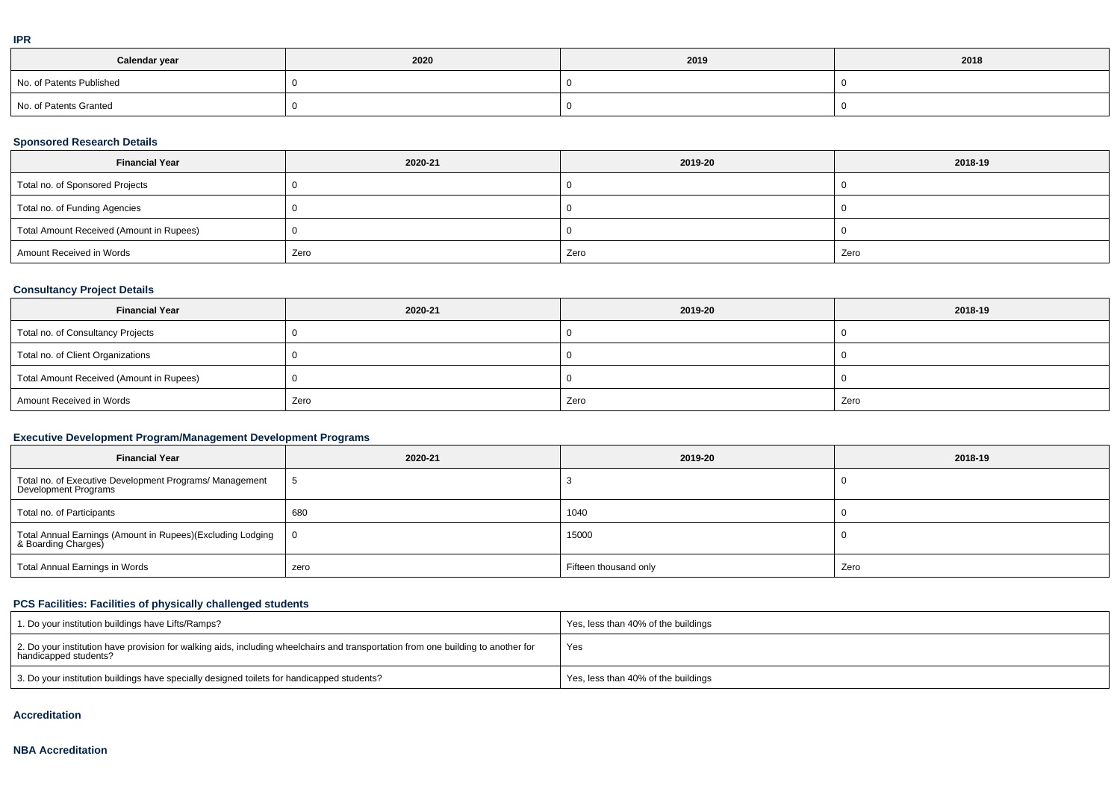|  | ۰ |
|--|---|
|  |   |
|  |   |
|  |   |

| Calendar year            | 2020 | 2019 | 2018 |
|--------------------------|------|------|------|
| No. of Patents Published |      |      |      |
| No. of Patents Granted   |      |      |      |

# **Sponsored Research Details**

| <b>Financial Year</b>                    | 2020-21 | 2019-20 | 2018-19 |
|------------------------------------------|---------|---------|---------|
| Total no. of Sponsored Projects          |         |         |         |
| Total no. of Funding Agencies            |         |         |         |
| Total Amount Received (Amount in Rupees) |         |         |         |
| Amount Received in Words                 | Zero    | Zero    | Zero    |

# **Consultancy Project Details**

| <b>Financial Year</b>                    | 2020-21 | 2019-20 | 2018-19 |
|------------------------------------------|---------|---------|---------|
| Total no. of Consultancy Projects        |         |         |         |
| Total no. of Client Organizations        |         |         |         |
| Total Amount Received (Amount in Rupees) |         |         |         |
| Amount Received in Words                 | Zero    | Zero    | Zero    |

# **Executive Development Program/Management Development Programs**

| <b>Financial Year</b>                                                             | 2020-21     | 2019-20               | 2018-19 |
|-----------------------------------------------------------------------------------|-------------|-----------------------|---------|
| Total no. of Executive Development Programs/ Management<br>Development Programs   | $\mathbf b$ |                       |         |
| Total no. of Participants                                                         | 680         | 1040                  |         |
| Total Annual Earnings (Amount in Rupees)(Excluding Lodging<br>& Boarding Charges) | $\bf{0}$    | 15000                 |         |
| Total Annual Earnings in Words                                                    | zero        | Fifteen thousand only | Zero    |

# **PCS Facilities: Facilities of physically challenged students**

| 1. Do your institution buildings have Lifts/Ramps?                                                                                                         | Yes, less than 40% of the buildings |
|------------------------------------------------------------------------------------------------------------------------------------------------------------|-------------------------------------|
| 2. Do your institution have provision for walking aids, including wheelchairs and transportation from one building to another for<br>handicapped students? | Yes                                 |
| 3. Do your institution buildings have specially designed toilets for handicapped students?                                                                 | Yes, less than 40% of the buildings |

### **Accreditation**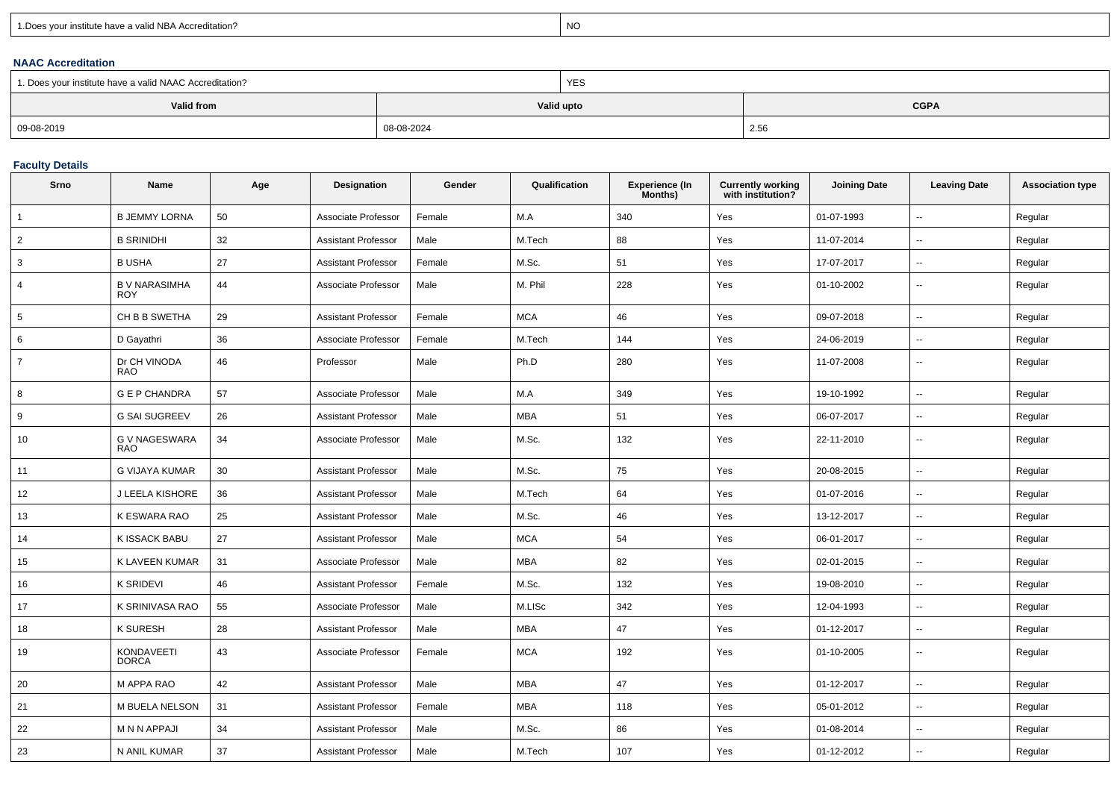| 1. Does your institute have a valid NBA Accreditation? |  |
|--------------------------------------------------------|--|
|                                                        |  |

expression of the contract of the contract of the contract of the contract of the contract of the contract of the contract of the contract of the contract of the contract of the contract of the contract of the contract of

## **NAAC Accreditation**

| 1. Does your institute have a valid NAAC Accreditation? |            | <b>YES</b> |             |  |  |
|---------------------------------------------------------|------------|------------|-------------|--|--|
| Valid from                                              |            | Valid upto | <b>CGPA</b> |  |  |
| 09-08-2019                                              | 08-08-2024 |            | 2.56        |  |  |

# **Faculty Details**

| Srno            | Name                               | Age | Designation                | Gender | Qualification | Experience (In<br>Months) | <b>Currently working</b><br>with institution? | <b>Joining Date</b> | <b>Leaving Date</b>      | <b>Association type</b> |
|-----------------|------------------------------------|-----|----------------------------|--------|---------------|---------------------------|-----------------------------------------------|---------------------|--------------------------|-------------------------|
| $\overline{1}$  | <b>B JEMMY LORNA</b>               | 50  | Associate Professor        | Female | M.A           | 340                       | Yes                                           | 01-07-1993          | $\overline{\phantom{a}}$ | Regular                 |
| $\overline{2}$  | <b>B SRINIDHI</b>                  | 32  | <b>Assistant Professor</b> | Male   | M.Tech        | 88                        | Yes                                           | 11-07-2014          | $\overline{\phantom{a}}$ | Regular                 |
| 3               | <b>BUSHA</b>                       | 27  | <b>Assistant Professor</b> | Female | M.Sc.         | 51                        | Yes                                           | 17-07-2017          | $\sim$                   | Regular                 |
| $\overline{4}$  | <b>B V NARASIMHA</b><br><b>ROY</b> | 44  | Associate Professor        | Male   | M. Phil       | 228                       | Yes                                           | 01-10-2002          | $\overline{\phantom{a}}$ | Regular                 |
| $5\overline{5}$ | CH B B SWETHA                      | 29  | Assistant Professor        | Female | <b>MCA</b>    | 46                        | Yes                                           | 09-07-2018          | $\overline{\phantom{a}}$ | Regular                 |
| 6               | D Gayathri                         | 36  | Associate Professor        | Female | M.Tech        | 144                       | Yes                                           | 24-06-2019          | $\overline{\phantom{a}}$ | Regular                 |
| $\overline{7}$  | Dr CH VINODA<br><b>RAO</b>         | 46  | Professor                  | Male   | Ph.D          | 280                       | Yes                                           | 11-07-2008          | $\sim$                   | Regular                 |
| 8               | <b>G E P CHANDRA</b>               | 57  | Associate Professor        | Male   | M.A           | 349                       | Yes                                           | 19-10-1992          | $\overline{\phantom{a}}$ | Regular                 |
| 9               | <b>G SAI SUGREEV</b>               | 26  | <b>Assistant Professor</b> | Male   | <b>MBA</b>    | 51                        | Yes                                           | 06-07-2017          | $\overline{\phantom{a}}$ | Regular                 |
| 10              | <b>G V NAGESWARA</b><br><b>RAO</b> | 34  | Associate Professor        | Male   | M.Sc.         | 132                       | Yes                                           | 22-11-2010          | $\overline{\phantom{a}}$ | Regular                 |
| 11              | G VIJAYA KUMAR                     | 30  | <b>Assistant Professor</b> | Male   | M.Sc.         | 75                        | Yes                                           | 20-08-2015          | $\sim$                   | Regular                 |
| 12              | J LEELA KISHORE                    | 36  | Assistant Professor        | Male   | M.Tech        | 64                        | Yes                                           | 01-07-2016          | $\overline{\phantom{a}}$ | Regular                 |
| 13              | K ESWARA RAO                       | 25  | Assistant Professor        | Male   | M.Sc.         | 46                        | Yes                                           | 13-12-2017          | $\sim$                   | Regular                 |
| 14              | K ISSACK BABU                      | 27  | Assistant Professor        | Male   | <b>MCA</b>    | 54                        | Yes                                           | 06-01-2017          | $\sim$                   | Regular                 |
| 15              | K LAVEEN KUMAR                     | 31  | Associate Professor        | Male   | MBA           | 82                        | Yes                                           | 02-01-2015          | $\sim$                   | Regular                 |
| 16              | <b>K SRIDEVI</b>                   | 46  | <b>Assistant Professor</b> | Female | M.Sc.         | 132                       | Yes                                           | 19-08-2010          | $\overline{\phantom{a}}$ | Regular                 |
| 17              | K SRINIVASA RAO                    | 55  | Associate Professor        | Male   | M.LISc        | 342                       | Yes                                           | 12-04-1993          | $\sim$                   | Regular                 |
| 18              | <b>K SURESH</b>                    | 28  | Assistant Professor        | Male   | MBA           | 47                        | Yes                                           | 01-12-2017          | $\sim$                   | Regular                 |
| 19              | <b>KONDAVEETI</b><br><b>DORCA</b>  | 43  | Associate Professor        | Female | <b>MCA</b>    | 192                       | Yes                                           | 01-10-2005          | $\overline{\phantom{a}}$ | Regular                 |
| 20              | M APPA RAO                         | 42  | <b>Assistant Professor</b> | Male   | <b>MBA</b>    | 47                        | Yes                                           | 01-12-2017          | $\sim$                   | Regular                 |
| 21              | M BUELA NELSON                     | 31  | Assistant Professor        | Female | MBA           | 118                       | Yes                                           | 05-01-2012          | $\overline{\phantom{a}}$ | Regular                 |
| 22              | M N N APPAJI                       | 34  | <b>Assistant Professor</b> | Male   | M.Sc.         | 86                        | Yes                                           | 01-08-2014          | $\sim$                   | Regular                 |
| 23              | N ANIL KUMAR                       | 37  | <b>Assistant Professor</b> | Male   | M.Tech        | 107                       | Yes                                           | 01-12-2012          | $\sim$                   | Regular                 |